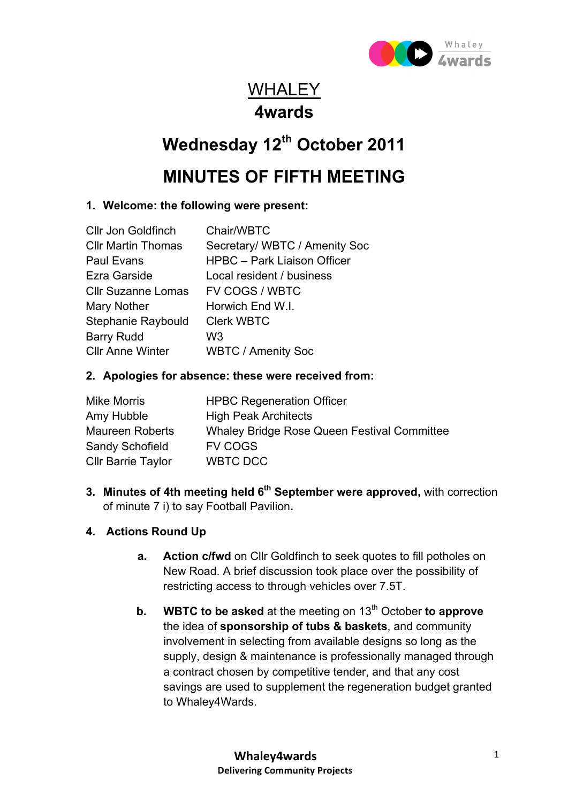

# WHALEY **4wards**

# **Wednesday 12th October 2011**

# **MINUTES OF FIFTH MEETING**

### **1. Welcome: the following were present:**

| Chair/WBTC                         |
|------------------------------------|
| Secretary/ WBTC / Amenity Soc      |
| <b>HPBC</b> - Park Liaison Officer |
| Local resident / business          |
| FV COGS / WBTC                     |
| Horwich End W.I.                   |
| <b>Clerk WBTC</b>                  |
| W3                                 |
| <b>WBTC / Amenity Soc</b>          |
|                                    |

#### **2. Apologies for absence: these were received from:**

| <b>Mike Morris</b>        | <b>HPBC Regeneration Officer</b>                   |
|---------------------------|----------------------------------------------------|
| Amy Hubble                | <b>High Peak Architects</b>                        |
| <b>Maureen Roberts</b>    | <b>Whaley Bridge Rose Queen Festival Committee</b> |
| Sandy Schofield           | <b>FV COGS</b>                                     |
| <b>Cllr Barrie Taylor</b> | WBTC DCC                                           |

**3. Minutes of 4th meeting held 6<sup>th</sup> September were approved, with correction** of minute 7 i) to say Football Pavilion**.**

## **4. Actions Round Up**

- **a. Action c/fwd** on Cllr Goldfinch to seek quotes to fill potholes on New Road. A brief discussion took place over the possibility of restricting access to through vehicles over 7.5T.
- **b. WBTC to be asked** at the meeting on 13<sup>th</sup> October **to approve** the idea of **sponsorship of tubs & baskets**, and community involvement in selecting from available designs so long as the supply, design & maintenance is professionally managed through a contract chosen by competitive tender, and that any cost savings are used to supplement the regeneration budget granted to Whaley4Wards.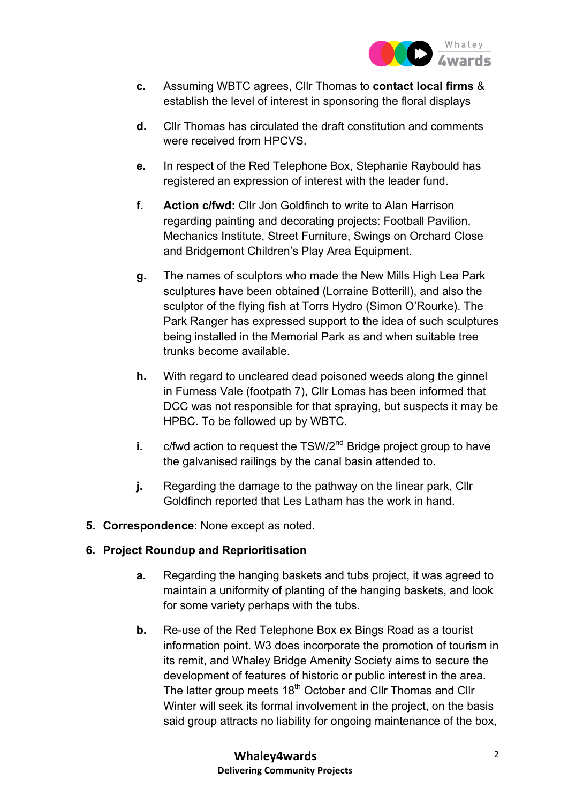

- **c.** Assuming WBTC agrees, Cllr Thomas to **contact local firms** & establish the level of interest in sponsoring the floral displays
- **d.** Cllr Thomas has circulated the draft constitution and comments were received from HPCVS.
- **e.** In respect of the Red Telephone Box, Stephanie Raybould has registered an expression of interest with the leader fund.
- **f. Action c/fwd:** Cllr Jon Goldfinch to write to Alan Harrison regarding painting and decorating projects: Football Pavilion, Mechanics Institute, Street Furniture, Swings on Orchard Close and Bridgemont Children's Play Area Equipment.
- **g.** The names of sculptors who made the New Mills High Lea Park sculptures have been obtained (Lorraine Botterill), and also the sculptor of the flying fish at Torrs Hydro (Simon O'Rourke). The Park Ranger has expressed support to the idea of such sculptures being installed in the Memorial Park as and when suitable tree trunks become available.
- **h.** With regard to uncleared dead poisoned weeds along the ginnel in Furness Vale (footpath 7), Cllr Lomas has been informed that DCC was not responsible for that spraying, but suspects it may be HPBC. To be followed up by WBTC.
- **i.** c/fwd action to request the TSW/2<sup>nd</sup> Bridge project group to have the galvanised railings by the canal basin attended to.
- **j.** Regarding the damage to the pathway on the linear park, Cllr Goldfinch reported that Les Latham has the work in hand.
- **5. Correspondence**: None except as noted.

#### **6. Project Roundup and Reprioritisation**

- **a.** Regarding the hanging baskets and tubs project, it was agreed to maintain a uniformity of planting of the hanging baskets, and look for some variety perhaps with the tubs.
- **b.** Re-use of the Red Telephone Box ex Bings Road as a tourist information point. W3 does incorporate the promotion of tourism in its remit, and Whaley Bridge Amenity Society aims to secure the development of features of historic or public interest in the area. The latter group meets 18<sup>th</sup> October and Cllr Thomas and Cllr Winter will seek its formal involvement in the project, on the basis said group attracts no liability for ongoing maintenance of the box,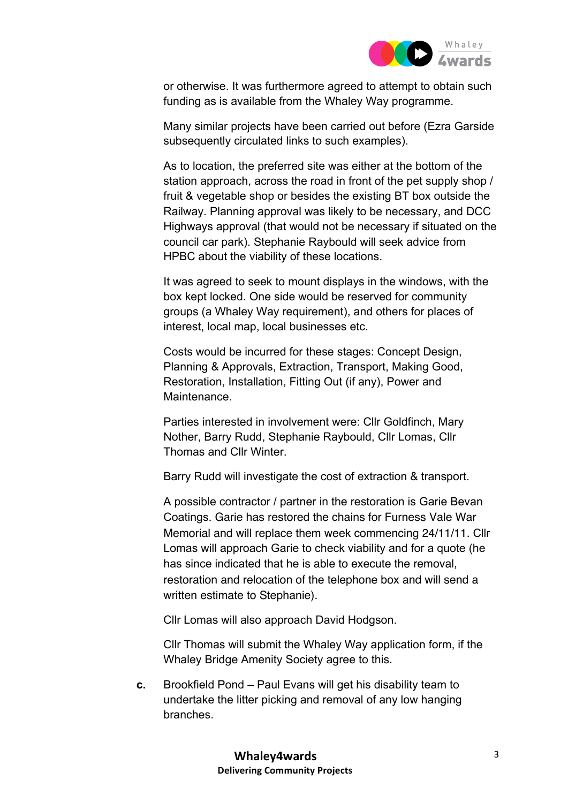

or otherwise. It was furthermore agreed to attempt to obtain such funding as is available from the Whaley Way programme.

Many similar projects have been carried out before (Ezra Garside subsequently circulated links to such examples).

As to location, the preferred site was either at the bottom of the station approach, across the road in front of the pet supply shop / fruit & vegetable shop or besides the existing BT box outside the Railway. Planning approval was likely to be necessary, and DCC Highways approval (that would not be necessary if situated on the council car park). Stephanie Raybould will seek advice from HPBC about the viability of these locations.

It was agreed to seek to mount displays in the windows, with the box kept locked. One side would be reserved for community groups (a Whaley Way requirement), and others for places of interest, local map, local businesses etc.

Costs would be incurred for these stages: Concept Design, Planning & Approvals, Extraction, Transport, Making Good, Restoration, Installation, Fitting Out (if any), Power and Maintenance.

Parties interested in involvement were: Cllr Goldfinch, Mary Nother, Barry Rudd, Stephanie Raybould, Cllr Lomas, Cllr Thomas and Cllr Winter.

Barry Rudd will investigate the cost of extraction & transport.

A possible contractor / partner in the restoration is Garie Bevan Coatings. Garie has restored the chains for Furness Vale War Memorial and will replace them week commencing 24/11/11. Cllr Lomas will approach Garie to check viability and for a quote (he has since indicated that he is able to execute the removal, restoration and relocation of the telephone box and will send a written estimate to Stephanie).

Cllr Lomas will also approach David Hodgson.

Cllr Thomas will submit the Whaley Way application form, if the Whaley Bridge Amenity Society agree to this.

**c.** Brookfield Pond – Paul Evans will get his disability team to undertake the litter picking and removal of any low hanging branches.